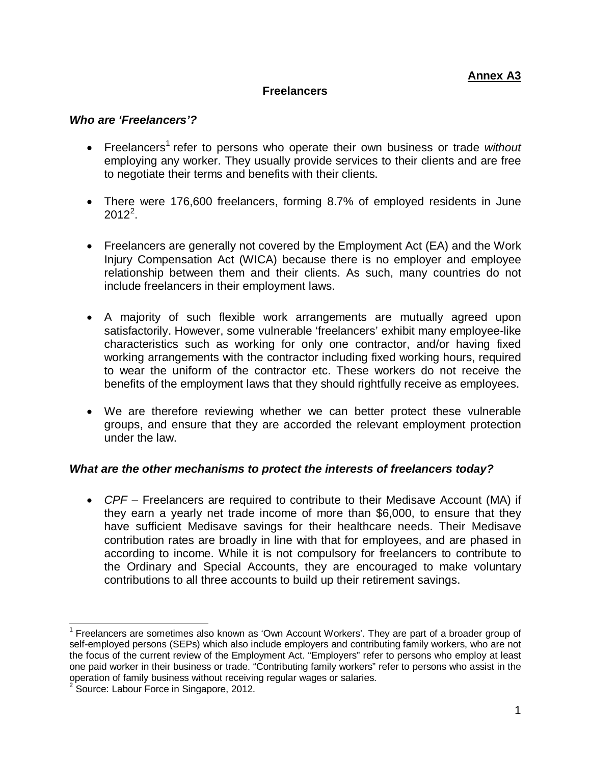## **Freelancers**

## *Who are 'Freelancers'?*

- Freelancers<sup>[1](#page-0-0)</sup> refer to persons who operate their own business or trade *without* employing any worker. They usually provide services to their clients and are free to negotiate their terms and benefits with their clients.
- There were 176,600 freelancers, forming 8.7% of employed residents in June  $2012^2$  $2012^2$ .
- Freelancers are generally not covered by the Employment Act (EA) and the Work Injury Compensation Act (WICA) because there is no employer and employee relationship between them and their clients. As such, many countries do not include freelancers in their employment laws.
- A majority of such flexible work arrangements are mutually agreed upon satisfactorily. However, some vulnerable 'freelancers' exhibit many employee-like characteristics such as working for only one contractor, and/or having fixed working arrangements with the contractor including fixed working hours, required to wear the uniform of the contractor etc. These workers do not receive the benefits of the employment laws that they should rightfully receive as employees.
- We are therefore reviewing whether we can better protect these vulnerable groups, and ensure that they are accorded the relevant employment protection under the law.

## *What are the other mechanisms to protect the interests of freelancers today?*

• *CPF* – Freelancers are required to contribute to their Medisave Account (MA) if they earn a yearly net trade income of more than \$6,000, to ensure that they have sufficient Medisave savings for their healthcare needs. Their Medisave contribution rates are broadly in line with that for employees, and are phased in according to income. While it is not compulsory for freelancers to contribute to the Ordinary and Special Accounts, they are encouraged to make voluntary contributions to all three accounts to build up their retirement savings.

<span id="page-0-0"></span><sup>1</sup> Freelancers are sometimes also known as 'Own Account Workers'. They are part of a broader group of self-employed persons (SEPs) which also include employers and contributing family workers, who are not the focus of the current review of the Employment Act. "Employers" refer to persons who employ at least one paid worker in their business or trade. "Contributing family workers" refer to persons who assist in the operation of family business without receiving regular wages or salaries.

<span id="page-0-1"></span><sup>&</sup>lt;sup>2</sup> Source: Labour Force in Singapore, 2012.